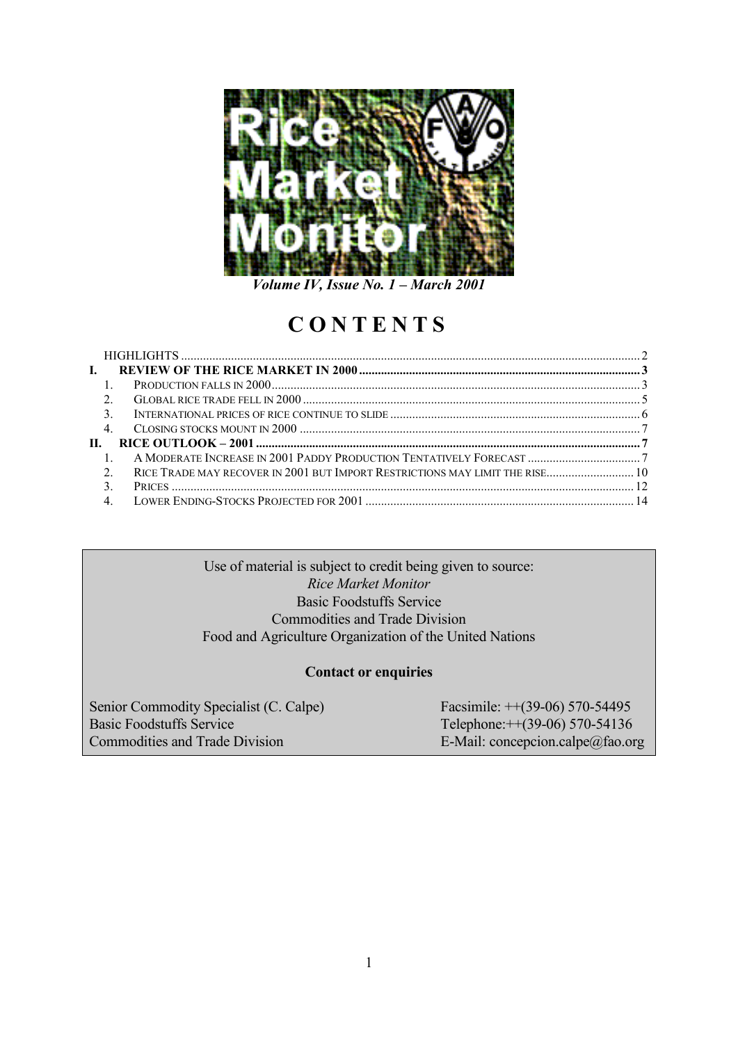

*Volume IV, Issue No. 1 – March 2001*

# **CONTENTS**

| RICE TRADE MAY RECOVER IN 2001 BUT IMPORT RESTRICTIONS MAY LIMIT THE RISE 10                      |                |
|---------------------------------------------------------------------------------------------------|----------------|
|                                                                                                   |                |
|                                                                                                   |                |
| L.<br>$\overline{1}$<br>$\mathcal{E}$<br>П.<br>$\mathcal{L}$<br>$\mathcal{E}$<br>$\overline{4}$ . | 2.<br>$\pm$ 1. |

Use of material is subject to credit being given to source: *Rice Market Monitor* Basic Foodstuffs Service Commodities and Trade Division Food and Agriculture Organization of the United Nations

# **Contact or enquiries**

Senior Commodity Specialist (C. Calpe) Facsimile: ++(39-06) 570-54495 Basic Foodstuffs Service Telephone:++(39-06) 570-54136 Commodities and Trade Division E-Mail: concepcion.calpe@fao.org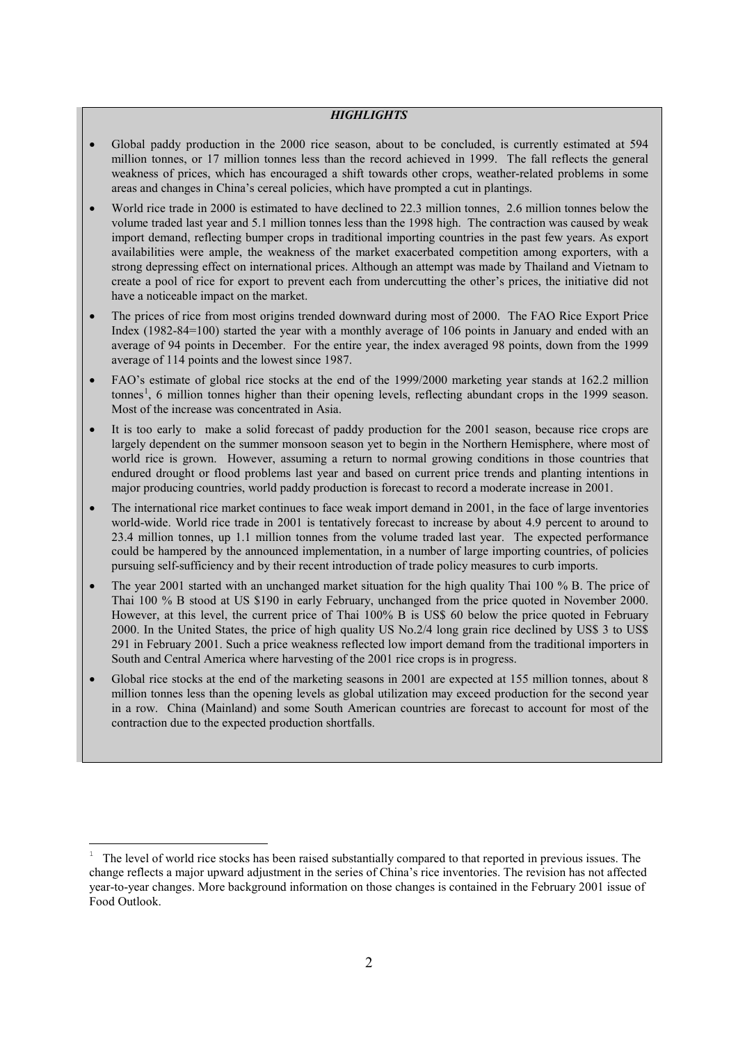#### *HIGHLIGHTS*

- Global paddy production in the 2000 rice season, about to be concluded, is currently estimated at 594 million tonnes, or 17 million tonnes less than the record achieved in 1999. The fall reflects the general weakness of prices, which has encouraged a shift towards other crops, weather-related problems in some areas and changes in China's cereal policies, which have prompted a cut in plantings.
- World rice trade in 2000 is estimated to have declined to 22.3 million tonnes, 2.6 million tonnes below the volume traded last year and 5.1 million tonnes less than the 1998 high. The contraction was caused by weak import demand, reflecting bumper crops in traditional importing countries in the past few years. As export availabilities were ample, the weakness of the market exacerbated competition among exporters, with a strong depressing effect on international prices. Although an attempt was made by Thailand and Vietnam to create a pool of rice for export to prevent each from undercutting the other's prices, the initiative did not have a noticeable impact on the market.
- The prices of rice from most origins trended downward during most of 2000. The FAO Rice Export Price Index (1982-84=100) started the year with a monthly average of 106 points in January and ended with an average of 94 points in December. For the entire year, the index averaged 98 points, down from the 1999 average of 114 points and the lowest since 1987.
- FAO's estimate of global rice stocks at the end of the 1999/2000 marketing year stands at 162.2 million tonnes<sup>[1](#page-1-0)</sup>, 6 million tonnes higher than their opening levels, reflecting abundant crops in the 1999 season. Most of the increase was concentrated in Asia.
- It is too early to make a solid forecast of paddy production for the 2001 season, because rice crops are largely dependent on the summer monsoon season yet to begin in the Northern Hemisphere, where most of world rice is grown. However, assuming a return to normal growing conditions in those countries that endured drought or flood problems last year and based on current price trends and planting intentions in major producing countries, world paddy production is forecast to record a moderate increase in 2001.
- The international rice market continues to face weak import demand in 2001, in the face of large inventories world-wide. World rice trade in 2001 is tentatively forecast to increase by about 4.9 percent to around to 23.4 million tonnes, up 1.1 million tonnes from the volume traded last year. The expected performance could be hampered by the announced implementation, in a number of large importing countries, of policies pursuing self-sufficiency and by their recent introduction of trade policy measures to curb imports.
- The year 2001 started with an unchanged market situation for the high quality Thai 100 % B. The price of Thai 100 % B stood at US \$190 in early February, unchanged from the price quoted in November 2000. However, at this level, the current price of Thai 100% B is US\$ 60 below the price quoted in February 2000. In the United States, the price of high quality US No.2/4 long grain rice declined by US\$ 3 to US\$ 291 in February 2001. Such a price weakness reflected low import demand from the traditional importers in South and Central America where harvesting of the 2001 rice crops is in progress.
- Global rice stocks at the end of the marketing seasons in 2001 are expected at 155 million tonnes, about 8 million tonnes less than the opening levels as global utilization may exceed production for the second year in a row. China (Mainland) and some South American countries are forecast to account for most of the contraction due to the expected production shortfalls.

<span id="page-1-0"></span> $\overline{a}$ <sup>1</sup> The level of world rice stocks has been raised substantially compared to that reported in previous issues. The change reflects a major upward adjustment in the series of China's rice inventories. The revision has not affected year-to-year changes. More background information on those changes is contained in the February 2001 issue of Food Outlook.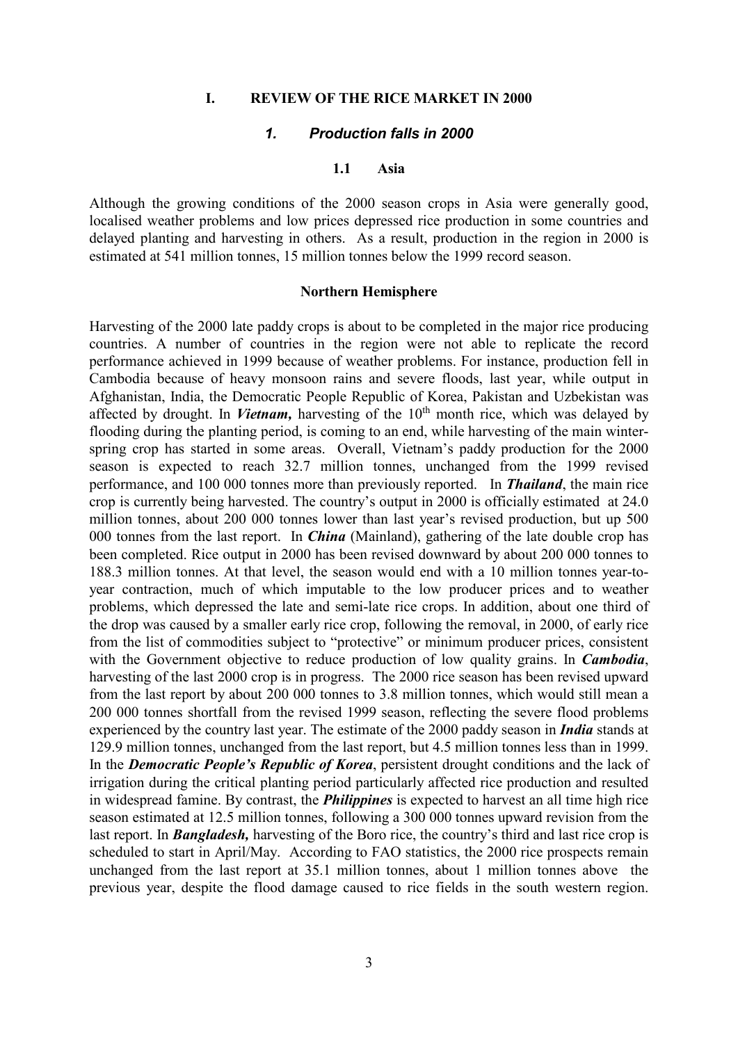## **I. REVIEW OF THE RICE MARKET IN 2000**

## *1. Production falls in 2000*

### **1.1 Asia**

Although the growing conditions of the 2000 season crops in Asia were generally good, localised weather problems and low prices depressed rice production in some countries and delayed planting and harvesting in others. As a result, production in the region in 2000 is estimated at 541 million tonnes, 15 million tonnes below the 1999 record season.

#### **Northern Hemisphere**

Harvesting of the 2000 late paddy crops is about to be completed in the major rice producing countries. A number of countries in the region were not able to replicate the record performance achieved in 1999 because of weather problems. For instance, production fell in Cambodia because of heavy monsoon rains and severe floods, last year, while output in Afghanistan, India, the Democratic People Republic of Korea, Pakistan and Uzbekistan was affected by drought. In *Vietnam*, harvesting of the  $10<sup>th</sup>$  month rice, which was delayed by flooding during the planting period, is coming to an end, while harvesting of the main winterspring crop has started in some areas. Overall, Vietnam's paddy production for the 2000 season is expected to reach 32.7 million tonnes, unchanged from the 1999 revised performance, and 100 000 tonnes more than previously reported. In *Thailand*, the main rice crop is currently being harvested. The country's output in 2000 is officially estimated at 24.0 million tonnes, about 200 000 tonnes lower than last year's revised production, but up 500 000 tonnes from the last report. In *China* (Mainland), gathering of the late double crop has been completed. Rice output in 2000 has been revised downward by about 200 000 tonnes to 188.3 million tonnes. At that level, the season would end with a 10 million tonnes year-toyear contraction, much of which imputable to the low producer prices and to weather problems, which depressed the late and semi-late rice crops. In addition, about one third of the drop was caused by a smaller early rice crop, following the removal, in 2000, of early rice from the list of commodities subject to "protective" or minimum producer prices, consistent with the Government objective to reduce production of low quality grains. In *Cambodia*, harvesting of the last 2000 crop is in progress. The 2000 rice season has been revised upward from the last report by about 200 000 tonnes to 3.8 million tonnes, which would still mean a 200 000 tonnes shortfall from the revised 1999 season, reflecting the severe flood problems experienced by the country last year. The estimate of the 2000 paddy season in *India* stands at 129.9 million tonnes, unchanged from the last report, but 4.5 million tonnes less than in 1999. In the *Democratic People's Republic of Korea*, persistent drought conditions and the lack of irrigation during the critical planting period particularly affected rice production and resulted in widespread famine. By contrast, the *Philippines* is expected to harvest an all time high rice season estimated at 12.5 million tonnes, following a 300 000 tonnes upward revision from the last report. In *Bangladesh,* harvesting of the Boro rice, the country's third and last rice crop is scheduled to start in April/May. According to FAO statistics, the 2000 rice prospects remain unchanged from the last report at 35.1 million tonnes, about 1 million tonnes above the previous year, despite the flood damage caused to rice fields in the south western region.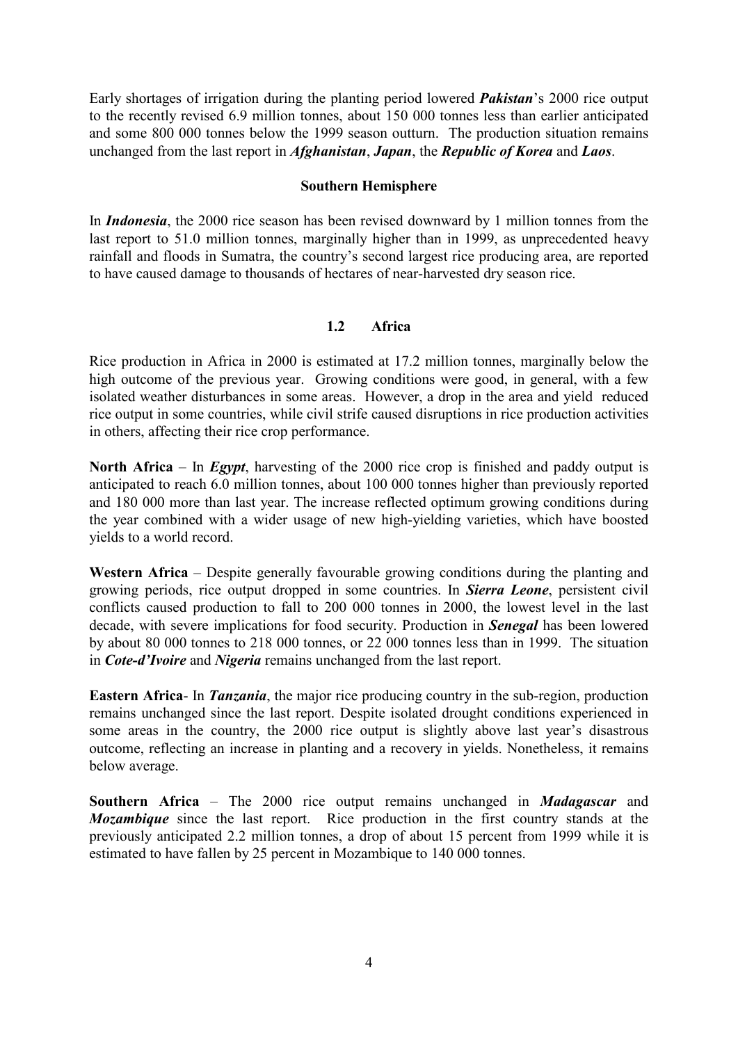Early shortages of irrigation during the planting period lowered *Pakistan*'s 2000 rice output to the recently revised 6.9 million tonnes, about 150 000 tonnes less than earlier anticipated and some 800 000 tonnes below the 1999 season outturn. The production situation remains unchanged from the last report in *Afghanistan*, *Japan*, the *Republic of Korea* and *Laos*.

## **Southern Hemisphere**

In *Indonesia*, the 2000 rice season has been revised downward by 1 million tonnes from the last report to 51.0 million tonnes, marginally higher than in 1999, as unprecedented heavy rainfall and floods in Sumatra, the country's second largest rice producing area, are reported to have caused damage to thousands of hectares of near-harvested dry season rice.

## **1.2 Africa**

Rice production in Africa in 2000 is estimated at 17.2 million tonnes, marginally below the high outcome of the previous year. Growing conditions were good, in general, with a few isolated weather disturbances in some areas. However, a drop in the area and yield reduced rice output in some countries, while civil strife caused disruptions in rice production activities in others, affecting their rice crop performance.

**North Africa** – In *Egypt*, harvesting of the 2000 rice crop is finished and paddy output is anticipated to reach 6.0 million tonnes, about 100 000 tonnes higher than previously reported and 180 000 more than last year. The increase reflected optimum growing conditions during the year combined with a wider usage of new high-yielding varieties, which have boosted yields to a world record.

**Western Africa** – Despite generally favourable growing conditions during the planting and growing periods, rice output dropped in some countries. In *Sierra Leone*, persistent civil conflicts caused production to fall to 200 000 tonnes in 2000, the lowest level in the last decade, with severe implications for food security. Production in *Senegal* has been lowered by about 80 000 tonnes to 218 000 tonnes, or 22 000 tonnes less than in 1999. The situation in *Cote-d'Ivoire* and *Nigeria* remains unchanged from the last report.

**Eastern Africa**- In *Tanzania*, the major rice producing country in the sub-region, production remains unchanged since the last report. Despite isolated drought conditions experienced in some areas in the country, the 2000 rice output is slightly above last year's disastrous outcome, reflecting an increase in planting and a recovery in yields. Nonetheless, it remains below average.

**Southern Africa** – The 2000 rice output remains unchanged in *Madagascar* and *Mozambique* since the last report. Rice production in the first country stands at the previously anticipated 2.2 million tonnes, a drop of about 15 percent from 1999 while it is estimated to have fallen by 25 percent in Mozambique to 140 000 tonnes.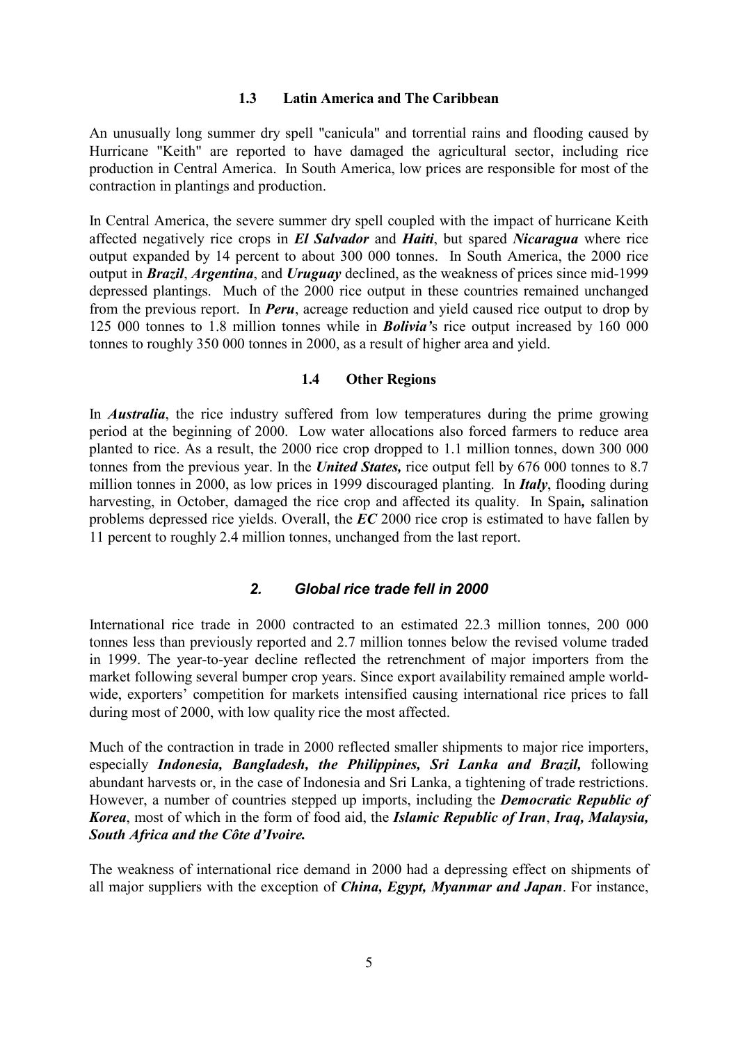## **1.3 Latin America and The Caribbean**

An unusually long summer dry spell "canicula" and torrential rains and flooding caused by Hurricane "Keith" are reported to have damaged the agricultural sector, including rice production in Central America. In South America, low prices are responsible for most of the contraction in plantings and production.

In Central America, the severe summer dry spell coupled with the impact of hurricane Keith affected negatively rice crops in *El Salvador* and *Haiti*, but spared *Nicaragua* where rice output expanded by 14 percent to about 300 000 tonnes. In South America, the 2000 rice output in *Brazil*, *Argentina*, and *Uruguay* declined, as the weakness of prices since mid-1999 depressed plantings. Much of the 2000 rice output in these countries remained unchanged from the previous report. In *Peru*, acreage reduction and yield caused rice output to drop by 125 000 tonnes to 1.8 million tonnes while in *Bolivia'*s rice output increased by 160 000 tonnes to roughly 350 000 tonnes in 2000, as a result of higher area and yield.

## **1.4 Other Regions**

In *Australia*, the rice industry suffered from low temperatures during the prime growing period at the beginning of 2000. Low water allocations also forced farmers to reduce area planted to rice. As a result, the 2000 rice crop dropped to 1.1 million tonnes, down 300 000 tonnes from the previous year. In the *United States,* rice output fell by 676 000 tonnes to 8.7 million tonnes in 2000, as low prices in 1999 discouraged planting. In *Italy*, flooding during harvesting, in October, damaged the rice crop and affected its quality. In Spain*,* salination problems depressed rice yields. Overall, the *EC* 2000 rice crop is estimated to have fallen by 11 percent to roughly 2.4 million tonnes, unchanged from the last report.

## *2. Global rice trade fell in 2000*

International rice trade in 2000 contracted to an estimated 22.3 million tonnes, 200 000 tonnes less than previously reported and 2.7 million tonnes below the revised volume traded in 1999. The year-to-year decline reflected the retrenchment of major importers from the market following several bumper crop years. Since export availability remained ample worldwide, exporters' competition for markets intensified causing international rice prices to fall during most of 2000, with low quality rice the most affected.

Much of the contraction in trade in 2000 reflected smaller shipments to major rice importers, especially *Indonesia, Bangladesh, the Philippines, Sri Lanka and Brazil,* following abundant harvests or, in the case of Indonesia and Sri Lanka, a tightening of trade restrictions. However, a number of countries stepped up imports, including the *Democratic Republic of Korea*, most of which in the form of food aid, the *Islamic Republic of Iran*, *Iraq, Malaysia, South Africa and the Côte d'Ivoire.*

The weakness of international rice demand in 2000 had a depressing effect on shipments of all major suppliers with the exception of *China, Egypt, Myanmar and Japan*. For instance,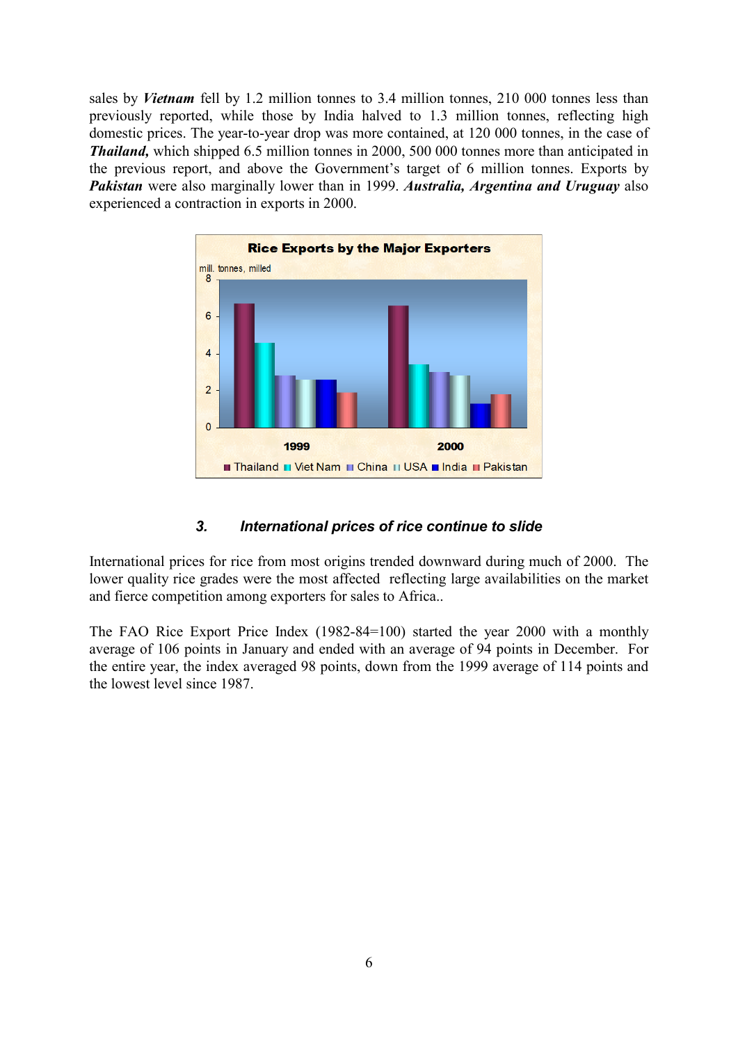sales by *Vietnam* fell by 1.2 million tonnes to 3.4 million tonnes, 210 000 tonnes less than previously reported, while those by India halved to 1.3 million tonnes, reflecting high domestic prices. The year-to-year drop was more contained, at 120 000 tonnes, in the case of *Thailand,* which shipped 6.5 million tonnes in 2000, 500 000 tonnes more than anticipated in the previous report, and above the Government's target of 6 million tonnes. Exports by *Pakistan* were also marginally lower than in 1999. *Australia, Argentina and Uruguay* also experienced a contraction in exports in 2000.



# *3. International prices of rice continue to slide*

International prices for rice from most origins trended downward during much of 2000. The lower quality rice grades were the most affected reflecting large availabilities on the market and fierce competition among exporters for sales to Africa..

The FAO Rice Export Price Index (1982-84=100) started the year 2000 with a monthly average of 106 points in January and ended with an average of 94 points in December. For the entire year, the index averaged 98 points, down from the 1999 average of 114 points and the lowest level since 1987.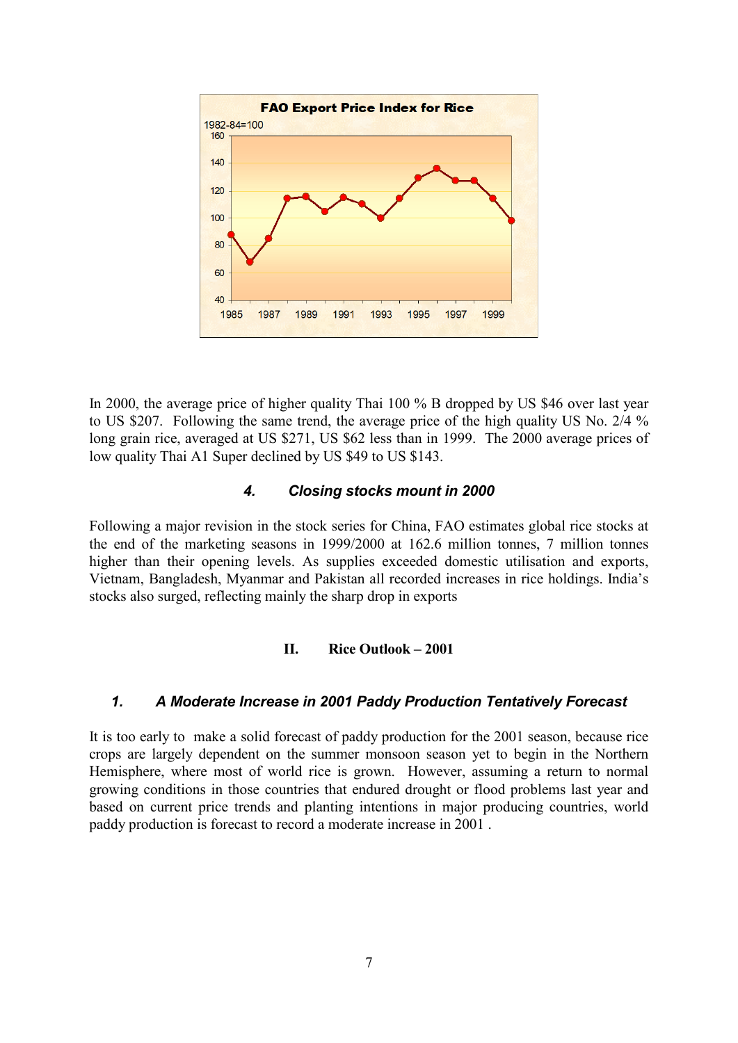

In 2000, the average price of higher quality Thai 100 % B dropped by US \$46 over last year to US \$207. Following the same trend, the average price of the high quality US No. 2/4 % long grain rice, averaged at US \$271, US \$62 less than in 1999. The 2000 average prices of low quality Thai A1 Super declined by US \$49 to US \$143.

# *4. Closing stocks mount in 2000*

Following a major revision in the stock series for China, FAO estimates global rice stocks at the end of the marketing seasons in 1999/2000 at 162.6 million tonnes, 7 million tonnes higher than their opening levels. As supplies exceeded domestic utilisation and exports, Vietnam, Bangladesh, Myanmar and Pakistan all recorded increases in rice holdings. India's stocks also surged, reflecting mainly the sharp drop in exports

# **II. Rice Outlook – 2001**

# *1. A Moderate Increase in 2001 Paddy Production Tentatively Forecast*

It is too early to make a solid forecast of paddy production for the 2001 season, because rice crops are largely dependent on the summer monsoon season yet to begin in the Northern Hemisphere, where most of world rice is grown. However, assuming a return to normal growing conditions in those countries that endured drought or flood problems last year and based on current price trends and planting intentions in major producing countries, world paddy production is forecast to record a moderate increase in 2001 .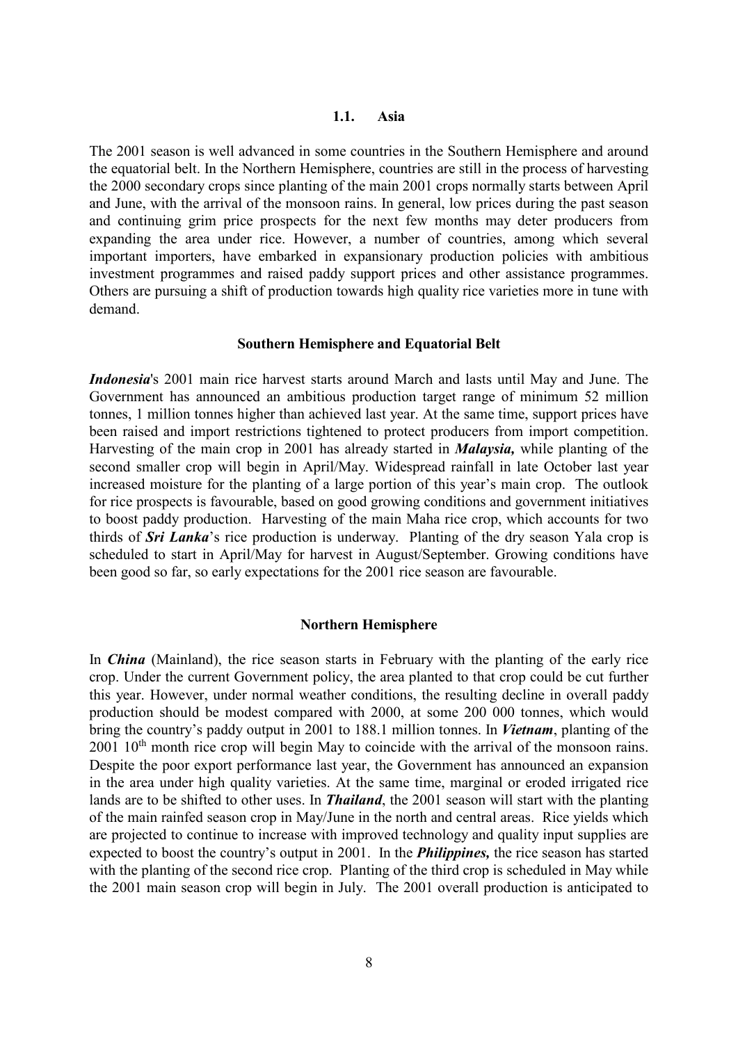The 2001 season is well advanced in some countries in the Southern Hemisphere and around the equatorial belt. In the Northern Hemisphere, countries are still in the process of harvesting the 2000 secondary crops since planting of the main 2001 crops normally starts between April and June, with the arrival of the monsoon rains. In general, low prices during the past season and continuing grim price prospects for the next few months may deter producers from expanding the area under rice. However, a number of countries, among which several important importers, have embarked in expansionary production policies with ambitious investment programmes and raised paddy support prices and other assistance programmes. Others are pursuing a shift of production towards high quality rice varieties more in tune with demand.

### **Southern Hemisphere and Equatorial Belt**

*Indonesia*'s 2001 main rice harvest starts around March and lasts until May and June. The Government has announced an ambitious production target range of minimum 52 million tonnes, 1 million tonnes higher than achieved last year. At the same time, support prices have been raised and import restrictions tightened to protect producers from import competition. Harvesting of the main crop in 2001 has already started in *Malaysia,* while planting of the second smaller crop will begin in April/May. Widespread rainfall in late October last year increased moisture for the planting of a large portion of this year's main crop. The outlook for rice prospects is favourable, based on good growing conditions and government initiatives to boost paddy production. Harvesting of the main Maha rice crop, which accounts for two thirds of *Sri Lanka*'s rice production is underway. Planting of the dry season Yala crop is scheduled to start in April/May for harvest in August/September. Growing conditions have been good so far, so early expectations for the 2001 rice season are favourable.

#### **Northern Hemisphere**

In *China* (Mainland), the rice season starts in February with the planting of the early rice crop. Under the current Government policy, the area planted to that crop could be cut further this year. However, under normal weather conditions, the resulting decline in overall paddy production should be modest compared with 2000, at some 200 000 tonnes, which would bring the country's paddy output in 2001 to 188.1 million tonnes. In *Vietnam*, planting of the 2001 10<sup>th</sup> month rice crop will begin May to coincide with the arrival of the monsoon rains. Despite the poor export performance last year, the Government has announced an expansion in the area under high quality varieties. At the same time, marginal or eroded irrigated rice lands are to be shifted to other uses. In *Thailand*, the 2001 season will start with the planting of the main rainfed season crop in May/June in the north and central areas. Rice yields which are projected to continue to increase with improved technology and quality input supplies are expected to boost the country's output in 2001. In the *Philippines,* the rice season has started with the planting of the second rice crop. Planting of the third crop is scheduled in May while the 2001 main season crop will begin in July. The 2001 overall production is anticipated to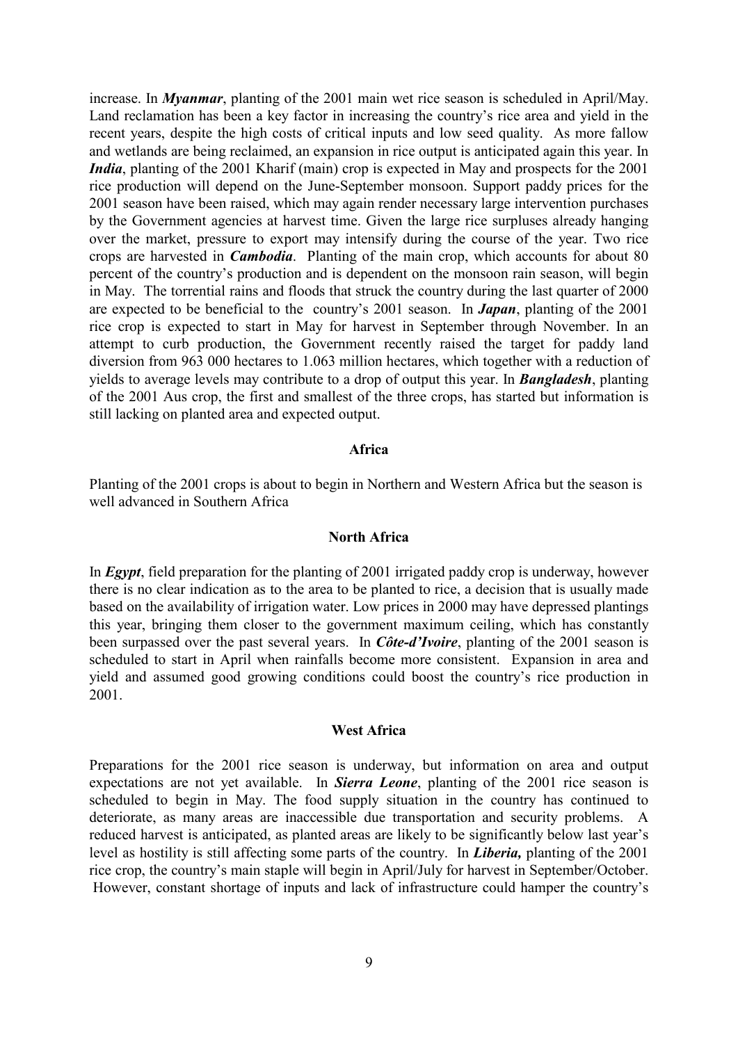increase. In *Myanmar*, planting of the 2001 main wet rice season is scheduled in April/May. Land reclamation has been a key factor in increasing the country's rice area and yield in the recent years, despite the high costs of critical inputs and low seed quality. As more fallow and wetlands are being reclaimed, an expansion in rice output is anticipated again this year. In *India*, planting of the 2001 Kharif (main) crop is expected in May and prospects for the 2001 rice production will depend on the June-September monsoon. Support paddy prices for the 2001 season have been raised, which may again render necessary large intervention purchases by the Government agencies at harvest time. Given the large rice surpluses already hanging over the market, pressure to export may intensify during the course of the year. Two rice crops are harvested in *Cambodia*. Planting of the main crop, which accounts for about 80 percent of the country's production and is dependent on the monsoon rain season, will begin in May. The torrential rains and floods that struck the country during the last quarter of 2000 are expected to be beneficial to the country's 2001 season. In *Japan*, planting of the 2001 rice crop is expected to start in May for harvest in September through November. In an attempt to curb production, the Government recently raised the target for paddy land diversion from 963 000 hectares to 1.063 million hectares, which together with a reduction of yields to average levels may contribute to a drop of output this year. In *Bangladesh*, planting of the 2001 Aus crop, the first and smallest of the three crops, has started but information is still lacking on planted area and expected output.

#### **Africa**

Planting of the 2001 crops is about to begin in Northern and Western Africa but the season is well advanced in Southern Africa

#### **North Africa**

In *Egypt*, field preparation for the planting of 2001 irrigated paddy crop is underway, however there is no clear indication as to the area to be planted to rice, a decision that is usually made based on the availability of irrigation water. Low prices in 2000 may have depressed plantings this year, bringing them closer to the government maximum ceiling, which has constantly been surpassed over the past several years. In *Côte-d'Ivoire*, planting of the 2001 season is scheduled to start in April when rainfalls become more consistent. Expansion in area and yield and assumed good growing conditions could boost the country's rice production in 2001.

### **West Africa**

Preparations for the 2001 rice season is underway, but information on area and output expectations are not yet available. In *Sierra Leone*, planting of the 2001 rice season is scheduled to begin in May. The food supply situation in the country has continued to deteriorate, as many areas are inaccessible due transportation and security problems. A reduced harvest is anticipated, as planted areas are likely to be significantly below last year's level as hostility is still affecting some parts of the country. In *Liberia,* planting of the 2001 rice crop, the country's main staple will begin in April/July for harvest in September/October. However, constant shortage of inputs and lack of infrastructure could hamper the country's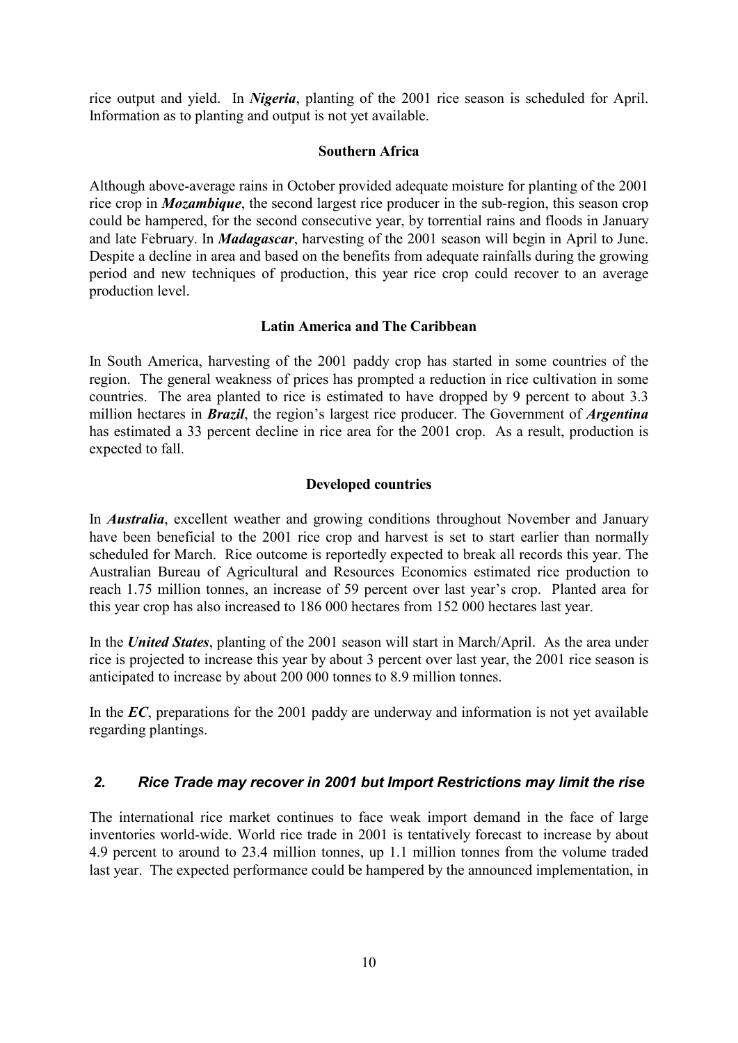rice output and yield. In *Nigeria*, planting of the 2001 rice season is scheduled for April. Information as to planting and output is not yet available.

## **Southern Africa**

Although above-average rains in October provided adequate moisture for planting of the 2001 rice crop in *Mozambique*, the second largest rice producer in the sub-region, this season crop could be hampered, for the second consecutive year, by torrential rains and floods in January and late February. In *Madagascar*, harvesting of the 2001 season will begin in April to June. Despite a decline in area and based on the benefits from adequate rainfalls during the growing period and new techniques of production, this year rice crop could recover to an average production level.

#### **Latin America and The Caribbean**

In South America, harvesting of the 2001 paddy crop has started in some countries of the region. The general weakness of prices has prompted a reduction in rice cultivation in some countries. The area planted to rice is estimated to have dropped by 9 percent to about 3.3 million hectares in *Brazil*, the region's largest rice producer. The Government of *Argentina* has estimated a 33 percent decline in rice area for the 2001 crop. As a result, production is expected to fall.

## **Developed countries**

In *Australia*, excellent weather and growing conditions throughout November and January have been beneficial to the 2001 rice crop and harvest is set to start earlier than normally scheduled for March. Rice outcome is reportedly expected to break all records this year. The Australian Bureau of Agricultural and Resources Economics estimated rice production to reach 1.75 million tonnes, an increase of 59 percent over last year's crop. Planted area for this year crop has also increased to 186 000 hectares from 152 000 hectares last year.

In the *United States*, planting of the 2001 season will start in March/April. As the area under rice is projected to increase this year by about 3 percent over last year, the 2001 rice season is anticipated to increase by about 200 000 tonnes to 8.9 million tonnes.

In the *EC*, preparations for the 2001 paddy are underway and information is not yet available regarding plantings.

## *2. Rice Trade may recover in 2001 but Import Restrictions may limit the rise*

The international rice market continues to face weak import demand in the face of large inventories world-wide. World rice trade in 2001 is tentatively forecast to increase by about 4.9 percent to around to 23.4 million tonnes, up 1.1 million tonnes from the volume traded last year. The expected performance could be hampered by the announced implementation, in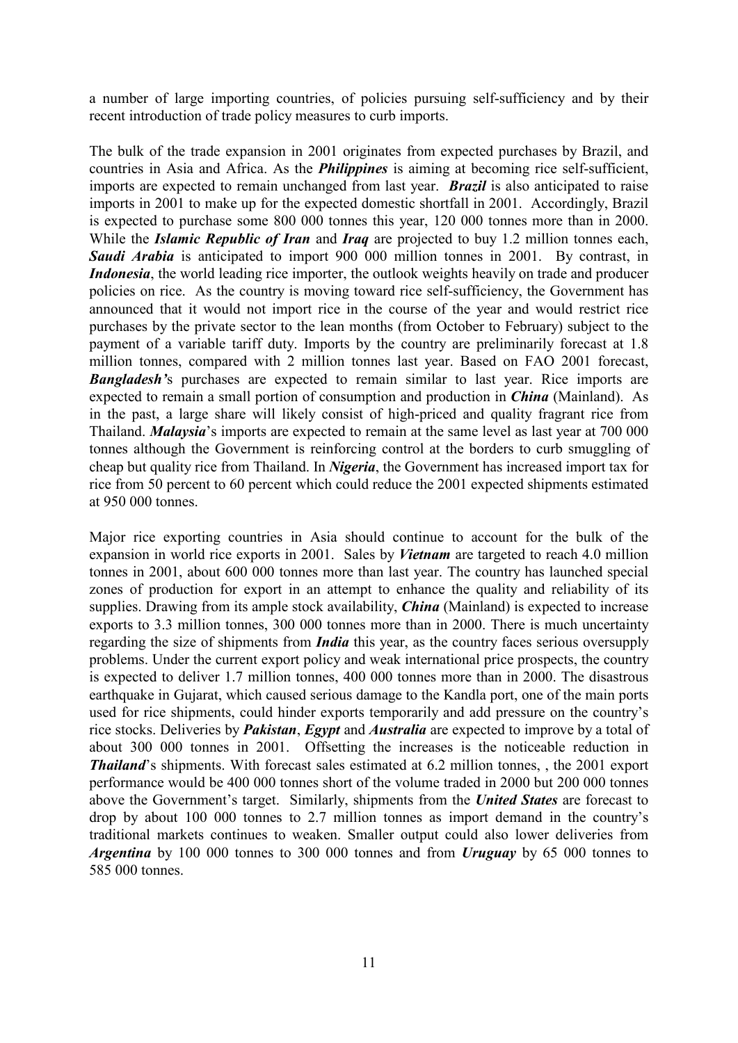a number of large importing countries, of policies pursuing self-sufficiency and by their recent introduction of trade policy measures to curb imports.

The bulk of the trade expansion in 2001 originates from expected purchases by Brazil, and countries in Asia and Africa. As the *Philippines* is aiming at becoming rice self-sufficient, imports are expected to remain unchanged from last year. *Brazil* is also anticipated to raise imports in 2001 to make up for the expected domestic shortfall in 2001. Accordingly, Brazil is expected to purchase some 800 000 tonnes this year, 120 000 tonnes more than in 2000. While the *Islamic Republic of Iran* and *Iraq* are projected to buy 1.2 million tonnes each, **Saudi Arabia** is anticipated to import 900 000 million tonnes in 2001. By contrast, in *Indonesia*, the world leading rice importer, the outlook weights heavily on trade and producer policies on rice. As the country is moving toward rice self-sufficiency, the Government has announced that it would not import rice in the course of the year and would restrict rice purchases by the private sector to the lean months (from October to February) subject to the payment of a variable tariff duty. Imports by the country are preliminarily forecast at 1.8 million tonnes, compared with 2 million tonnes last year. Based on FAO 2001 forecast, *Bangladesh'*s purchases are expected to remain similar to last year. Rice imports are expected to remain a small portion of consumption and production in *China* (Mainland). As in the past, a large share will likely consist of high-priced and quality fragrant rice from Thailand. *Malaysia*'s imports are expected to remain at the same level as last year at 700 000 tonnes although the Government is reinforcing control at the borders to curb smuggling of cheap but quality rice from Thailand. In *Nigeria*, the Government has increased import tax for rice from 50 percent to 60 percent which could reduce the 2001 expected shipments estimated at 950 000 tonnes.

Major rice exporting countries in Asia should continue to account for the bulk of the expansion in world rice exports in 2001. Sales by *Vietnam* are targeted to reach 4.0 million tonnes in 2001, about 600 000 tonnes more than last year. The country has launched special zones of production for export in an attempt to enhance the quality and reliability of its supplies. Drawing from its ample stock availability, *China* (Mainland) is expected to increase exports to 3.3 million tonnes, 300 000 tonnes more than in 2000. There is much uncertainty regarding the size of shipments from *India* this year, as the country faces serious oversupply problems. Under the current export policy and weak international price prospects, the country is expected to deliver 1.7 million tonnes, 400 000 tonnes more than in 2000. The disastrous earthquake in Gujarat, which caused serious damage to the Kandla port, one of the main ports used for rice shipments, could hinder exports temporarily and add pressure on the country's rice stocks. Deliveries by *Pakistan*, *Egypt* and *Australia* are expected to improve by a total of about 300 000 tonnes in 2001. Offsetting the increases is the noticeable reduction in *Thailand*'s shipments. With forecast sales estimated at 6.2 million tonnes, , the 2001 export performance would be 400 000 tonnes short of the volume traded in 2000 but 200 000 tonnes above the Government's target. Similarly, shipments from the *United States* are forecast to drop by about 100 000 tonnes to 2.7 million tonnes as import demand in the country's traditional markets continues to weaken. Smaller output could also lower deliveries from *Argentina* by 100 000 tonnes to 300 000 tonnes and from *Uruguay* by 65 000 tonnes to 585 000 tonnes.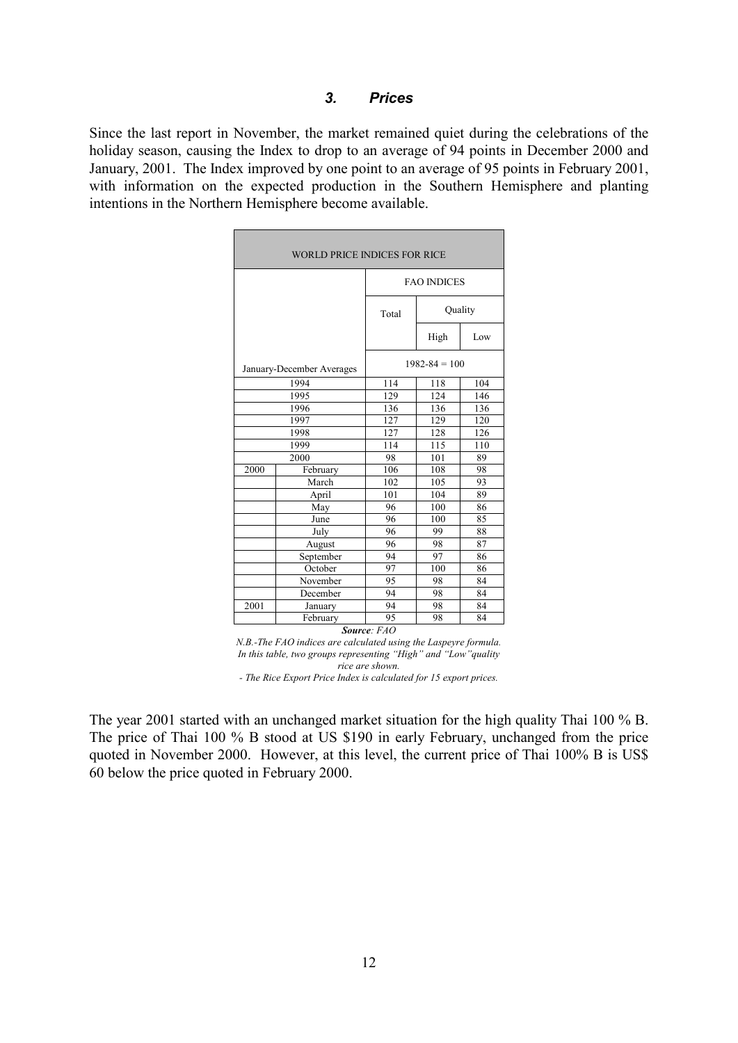# *3. Prices*

Since the last report in November, the market remained quiet during the celebrations of the holiday season, causing the Index to drop to an average of 94 points in December 2000 and January, 2001. The Index improved by one point to an average of 95 points in February 2001, with information on the expected production in the Southern Hemisphere and planting intentions in the Northern Hemisphere become available.

| <b>WORLD PRICE INDICES FOR RICE</b> |                           |                    |         |     |  |  |  |  |  |
|-------------------------------------|---------------------------|--------------------|---------|-----|--|--|--|--|--|
|                                     |                           | <b>FAO INDICES</b> |         |     |  |  |  |  |  |
|                                     |                           | Total              | Quality |     |  |  |  |  |  |
|                                     |                           |                    | High    | Low |  |  |  |  |  |
|                                     | January-December Averages | $1982 - 84 = 100$  |         |     |  |  |  |  |  |
|                                     | 1994                      | 114                | 118     | 104 |  |  |  |  |  |
|                                     | 1995                      | 129                | 124     | 146 |  |  |  |  |  |
|                                     | 1996                      | 136                | 136     | 136 |  |  |  |  |  |
|                                     | 1997                      | 127                | 129     | 120 |  |  |  |  |  |
|                                     | 1998                      | 127                | 128     | 126 |  |  |  |  |  |
|                                     | 1999                      | 114                | 115     | 110 |  |  |  |  |  |
|                                     | 2000                      | 98                 | 101     | 89  |  |  |  |  |  |
| 2000                                | February                  | 106                | 108     | 98  |  |  |  |  |  |
|                                     | March                     | 102                | 105     | 93  |  |  |  |  |  |
|                                     | April                     | 101                | 104     | 89  |  |  |  |  |  |
|                                     | May                       | 96                 | 100     | 86  |  |  |  |  |  |
|                                     | June                      | 96                 | 100     | 85  |  |  |  |  |  |
|                                     | July                      | 96                 | 99      | 88  |  |  |  |  |  |
|                                     | August                    | 96                 | 98      | 87  |  |  |  |  |  |
|                                     | September                 | 94                 | 97      | 86  |  |  |  |  |  |
|                                     | October                   | 97                 | 100     | 86  |  |  |  |  |  |
|                                     | November                  | 95                 | 98      | 84  |  |  |  |  |  |
|                                     | December                  | 94                 | 98      | 84  |  |  |  |  |  |
| 2001                                | January                   | 94                 | 98      | 84  |  |  |  |  |  |
|                                     | February                  | 95                 | 98      | 84  |  |  |  |  |  |

*N.B.-The FAO indices are calculated using the Laspeyre formula. In this table, two groups representing "High" and "Low"quality rice are shown. - The Rice Export Price Index is calculated for 15 export prices.*

The year 2001 started with an unchanged market situation for the high quality Thai 100 % B. The price of Thai 100 % B stood at US \$190 in early February, unchanged from the price quoted in November 2000. However, at this level, the current price of Thai 100% B is US\$ 60 below the price quoted in February 2000.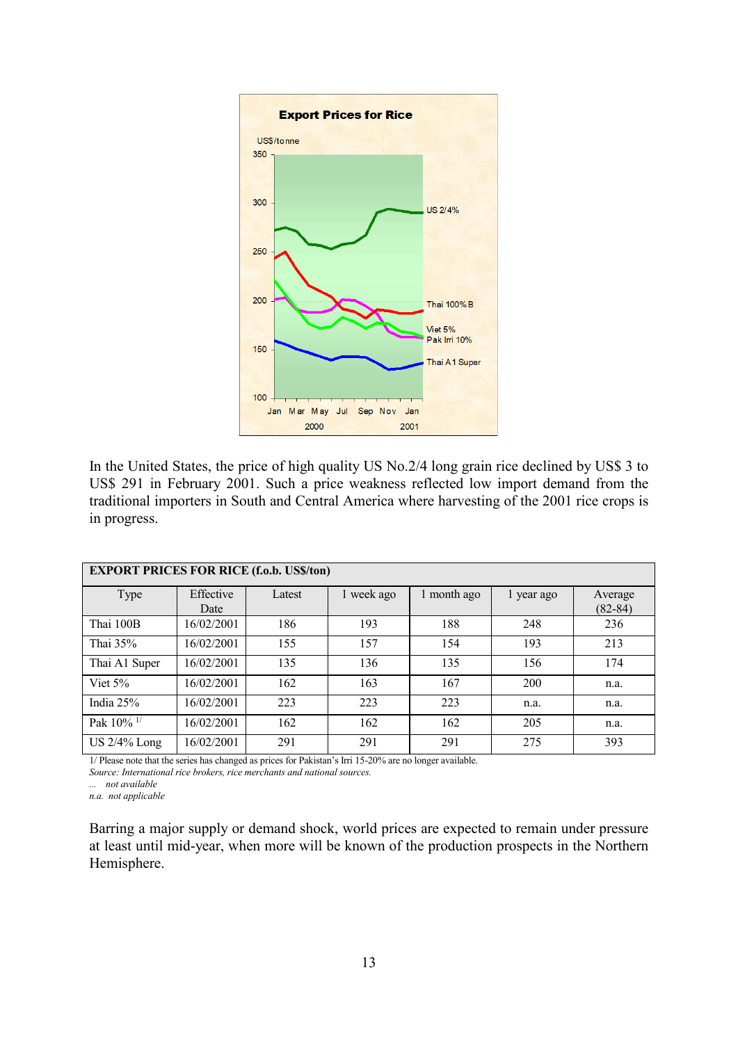

In the United States, the price of high quality US No.2/4 long grain rice declined by US\$ 3 to US\$ 291 in February 2001. Such a price weakness reflected low import demand from the traditional importers in South and Central America where harvesting of the 2001 rice crops is in progress.

| <b>EXPORT PRICES FOR RICE (f.o.b. US\$/ton)</b> |            |        |            |             |            |             |  |  |  |  |  |
|-------------------------------------------------|------------|--------|------------|-------------|------------|-------------|--|--|--|--|--|
| Type                                            | Effective  | Latest | 1 week ago | 1 month ago | l year ago | Average     |  |  |  |  |  |
|                                                 | Date       |        |            |             |            | $(82 - 84)$ |  |  |  |  |  |
| Thai 100B                                       | 16/02/2001 | 186    | 193        | 188         | 248        | 236         |  |  |  |  |  |
| Thai 35%                                        | 16/02/2001 | 155    | 157        | 154         | 193        | 213         |  |  |  |  |  |
| Thai A1 Super                                   | 16/02/2001 | 135    | 136        | 135         | 156        | 174         |  |  |  |  |  |
| Viet $5%$                                       | 16/02/2001 | 162    | 163        | 167         | 200        | n.a.        |  |  |  |  |  |
| India $25%$                                     | 16/02/2001 | 223    | 223        | 223         | n.a.       | n.a.        |  |  |  |  |  |
| Pak 10% <sup>1/</sup>                           | 16/02/2001 | 162    | 162        | 162         | 205        | n.a.        |  |  |  |  |  |
| US 2/4% Long                                    | 16/02/2001 | 291    | 291        | 291         | 275        | 393         |  |  |  |  |  |

1/ Please note that the series has changed as prices for Pakistan's Irri 15-20% are no longer available.

*Source: International rice brokers, rice merchants and national sources.*

*... not available*

*n.a. not applicable*

Barring a major supply or demand shock, world prices are expected to remain under pressure at least until mid-year, when more will be known of the production prospects in the Northern Hemisphere.